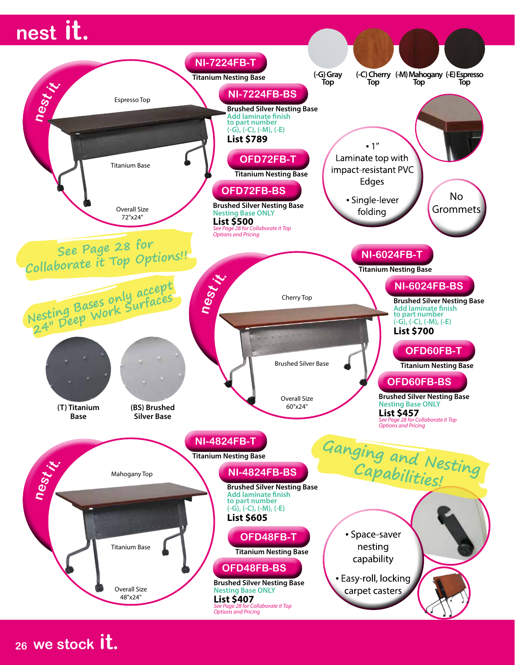# **nest it.**



**<sup>26</sup> we stock it.**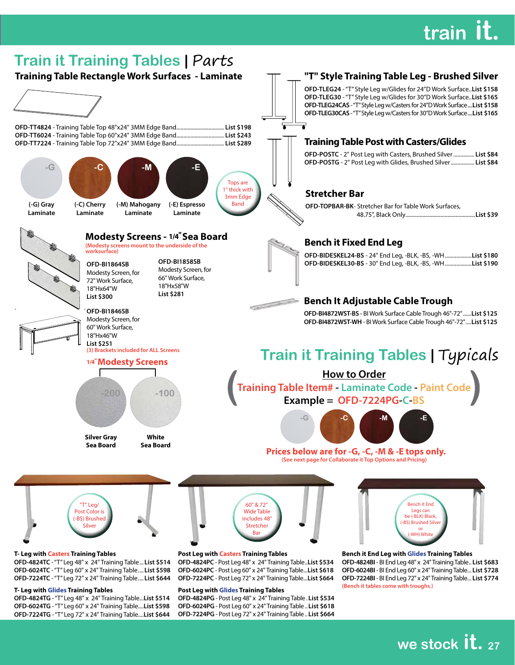# **train it.**



### **T- Leg with Glides Training Tables**

**OFD-4824TG** - "T" Leg 48" x 24" Training Table...**List \$514 OFD-6024TG** - "T" Leg 60" x 24" Training Table....**List \$598 OFD-7224TG** - "T" Leg 72" x 24" Training Table....**List \$644**

### **Post Leg with Glides Training Tables**

**OFD-4824PG**- Post Leg 48" x 24" Training Table . **List \$534 OFD-6024PG** - Post Leg 60" x 24" Training Table.. **List \$618 OFD-7224PG** - Post Leg 72" x 24" Training Table.. **List \$664** **(Bench it tables come with troughs.)**

**we stock it. <sup>27</sup>**